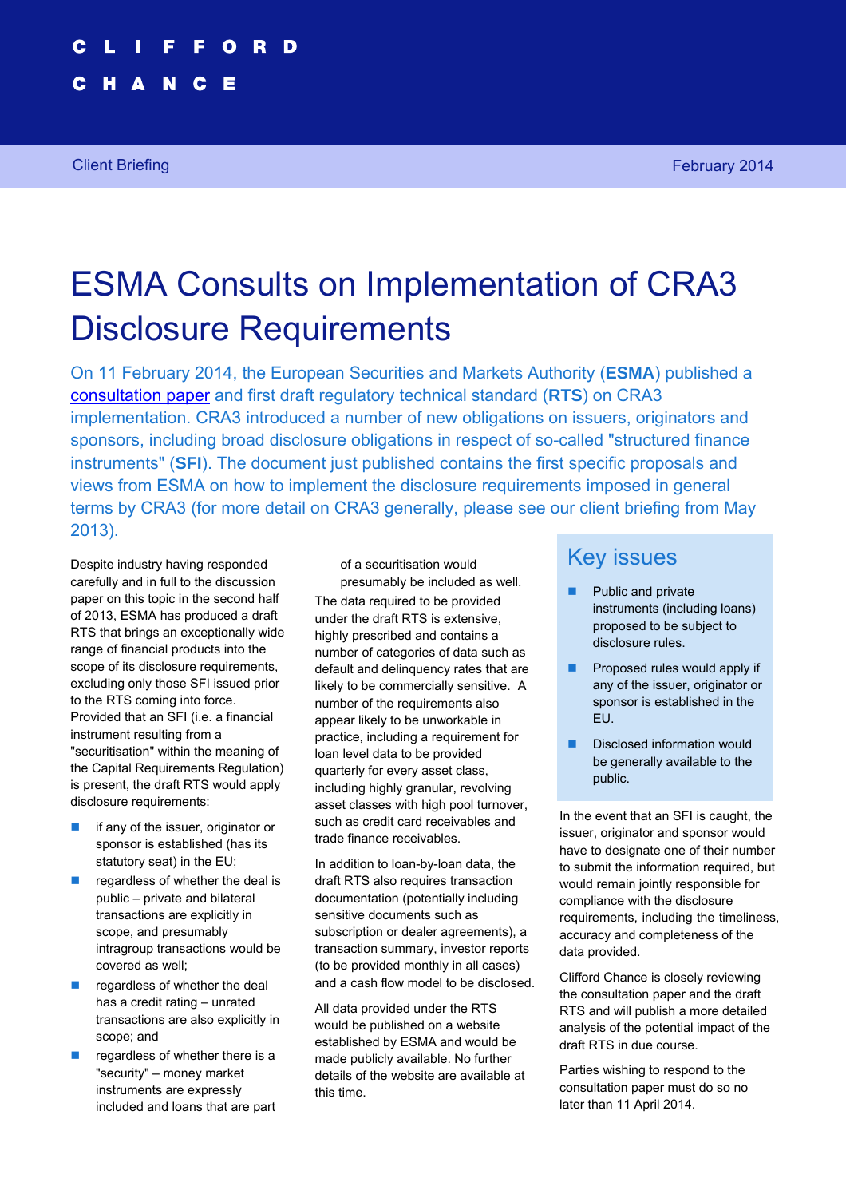N Е

# ESMA Consults on Implementation of CRA3 Disclosure Requirements

On 11 February 2014, the European Securities and Markets Authority (**ESMA**) published a [consultation paper](https://sites-cliffordchance.vuturevx.com/151/2003/upload-folder/esma-consultation-paper-on-cra3-implementation.pdf) and first draft regulatory technical standard (**RTS**) on CRA3 implementation. CRA3 introduced a number of new obligations on issuers, originators and sponsors, including broad disclosure obligations in respect of so-called "structured finance instruments" (**SFI**). The document just published contains the first specific proposals and views from ESMA on how to implement the disclosure requirements imposed in general terms by CRA3 (for more detail on CRA3 generally, please see our client briefing from May 2013).

Despite industry having responded carefully and in full to the discussion paper on this topic in the second half of 2013, ESMA has produced a draft RTS that brings an exceptionally wide range of financial products into the scope of its disclosure requirements, excluding only those SFI issued prior to the RTS coming into force. Provided that an SFI (i.e. a financial instrument resulting from a "securitisation" within the meaning of the Capital Requirements Regulation) is present, the draft RTS would apply disclosure requirements:

- $\blacksquare$  if any of the issuer, originator or sponsor is established (has its statutory seat) in the EU;
- $\blacksquare$  regardless of whether the deal is public – private and bilateral transactions are explicitly in scope, and presumably intragroup transactions would be covered as well;
- $\blacksquare$  regardless of whether the deal has a credit rating – unrated transactions are also explicitly in scope; and
- regardless of whether there is a "security" – money market instruments are expressly included and loans that are part

of a securitisation would presumably be included as well. The data required to be provided under the draft RTS is extensive, highly prescribed and contains a number of categories of data such as default and delinquency rates that are likely to be commercially sensitive. A number of the requirements also appear likely to be unworkable in practice, including a requirement for loan level data to be provided quarterly for every asset class, including highly granular, revolving asset classes with high pool turnover, such as credit card receivables and trade finance receivables.

In addition to loan-by-loan data, the draft RTS also requires transaction documentation (potentially including sensitive documents such as subscription or dealer agreements), a transaction summary, investor reports (to be provided monthly in all cases) and a cash flow model to be disclosed.

All data provided under the RTS would be published on a website established by ESMA and would be made publicly available. No further details of the website are available at this time.

### Key issues

- Public and private instruments (including loans) proposed to be subject to disclosure rules.
- **Proposed rules would apply if** any of the issuer, originator or sponsor is established in the EU.
- Disclosed information would be generally available to the public.

In the event that an SFI is caught, the issuer, originator and sponsor would have to designate one of their number to submit the information required, but would remain jointly responsible for compliance with the disclosure requirements, including the timeliness, accuracy and completeness of the data provided.

Clifford Chance is closely reviewing the consultation paper and the draft RTS and will publish a more detailed analysis of the potential impact of the draft RTS in due course.

Parties wishing to respond to the consultation paper must do so no later than 11 April 2014.